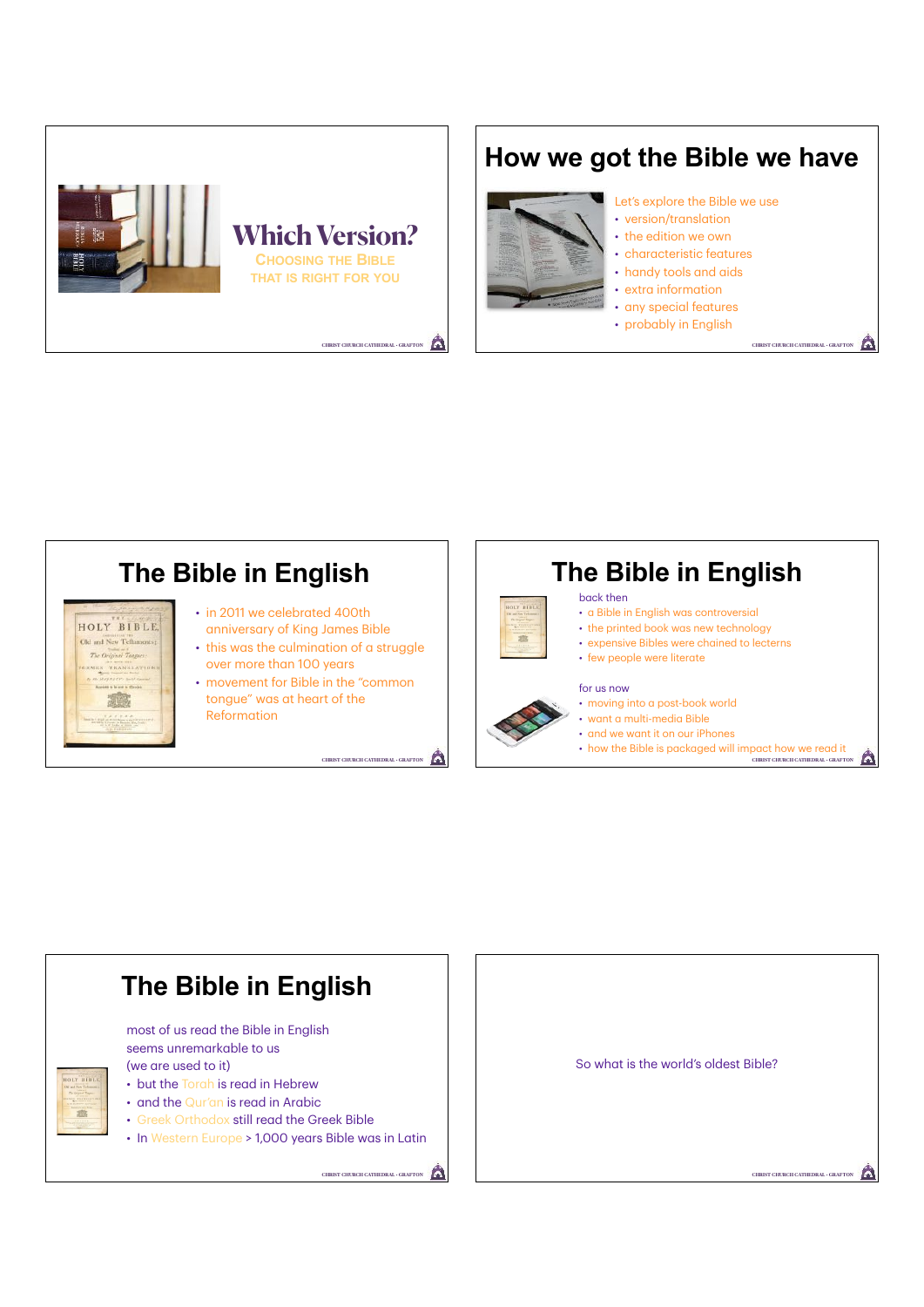

# **How we got the Bible we have**



#### Let's explore the Bible we use • version/translation

- the edition we own
- 
- characteristic features
- handy tools and aids
- extra information
- any special features

**CHRIST CHURCH CATHEDRAL · GRAFTO** 

• probably in English



## **The Bible in English** back then • a Bible in English was controversial • the printed book was new technology **TE** • expensive Bibles were chained to lecterns • few people were literate for us now • moving into a post-book world • want a multi-media Bible

A

- and we want it on our iPhones
- how the Bible is packaged will impact how we read it Δ **CHRIST CHURCH CATHEDRAL • GRAFTON**



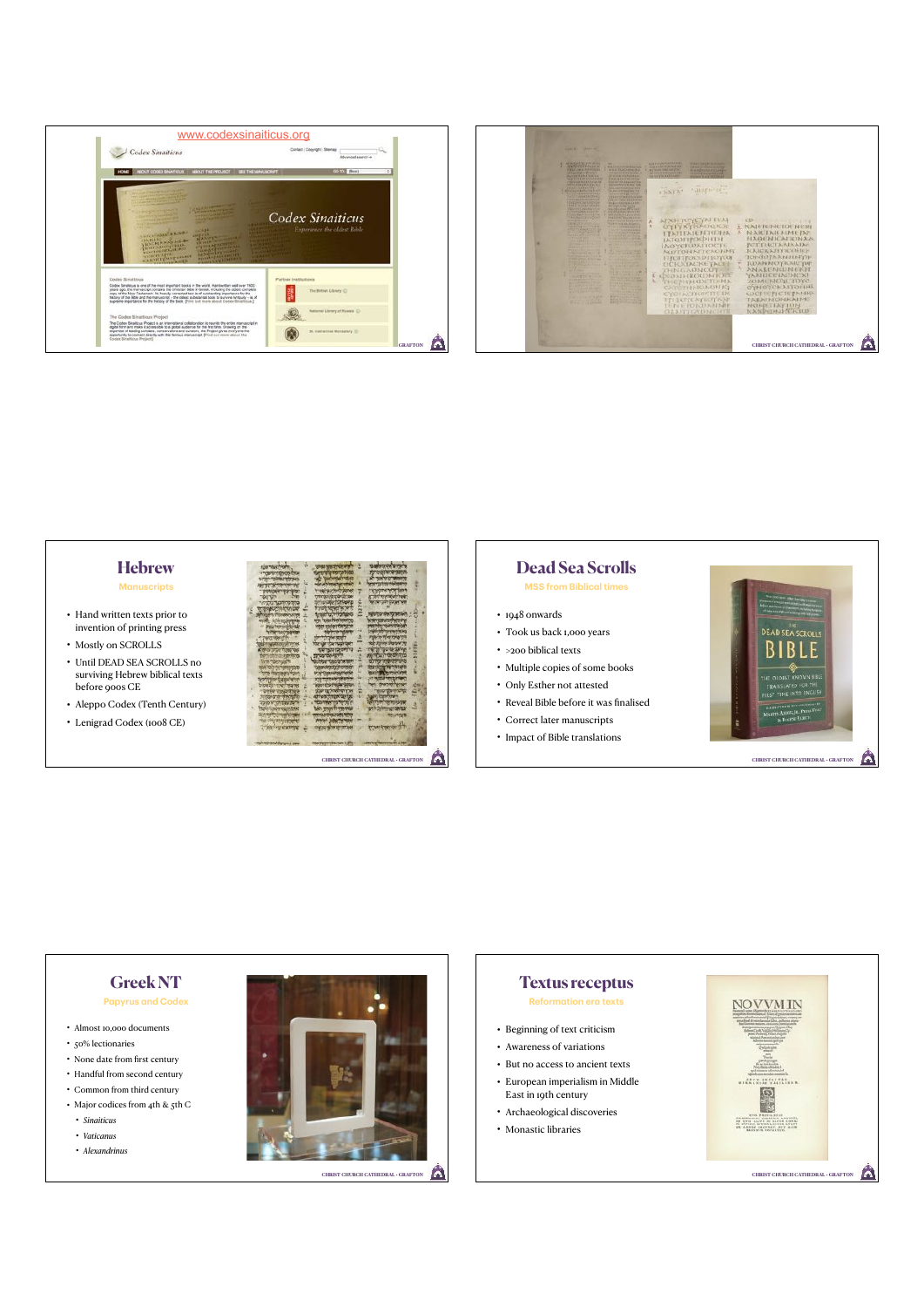



### **Hebrew Manuscripts**

- Hand written texts prior to invention of printing press
- Mostly on SCROLLS
- Until DEAD SEA SCROLLS no surviving Hebrew biblical texts before 900s CE
- Aleppo Codex (Tenth Century)
- Lenigrad Codex (1008 CE)



#### **Dead Sea Scrolls MSS from Biblical times**

- 1948 onwards
- Took us back 1,000 years
- >200 biblical texts
- Multiple copies of some books
- Only Esther not attested
- Reveal Bible before it was finalised
- Correct later manuscripts
- Impact of Bible translations





## **Greek NT Papyrus and Codex**

- Almost 10,000 documents
- 50% lectionaries
- None date from first century
- Handful from second century
- Common from third century
- Major codices from 4th & 5th C
	- *Sinaiticus*
	- *• Vaticanus*
	- *• Alexandrinus*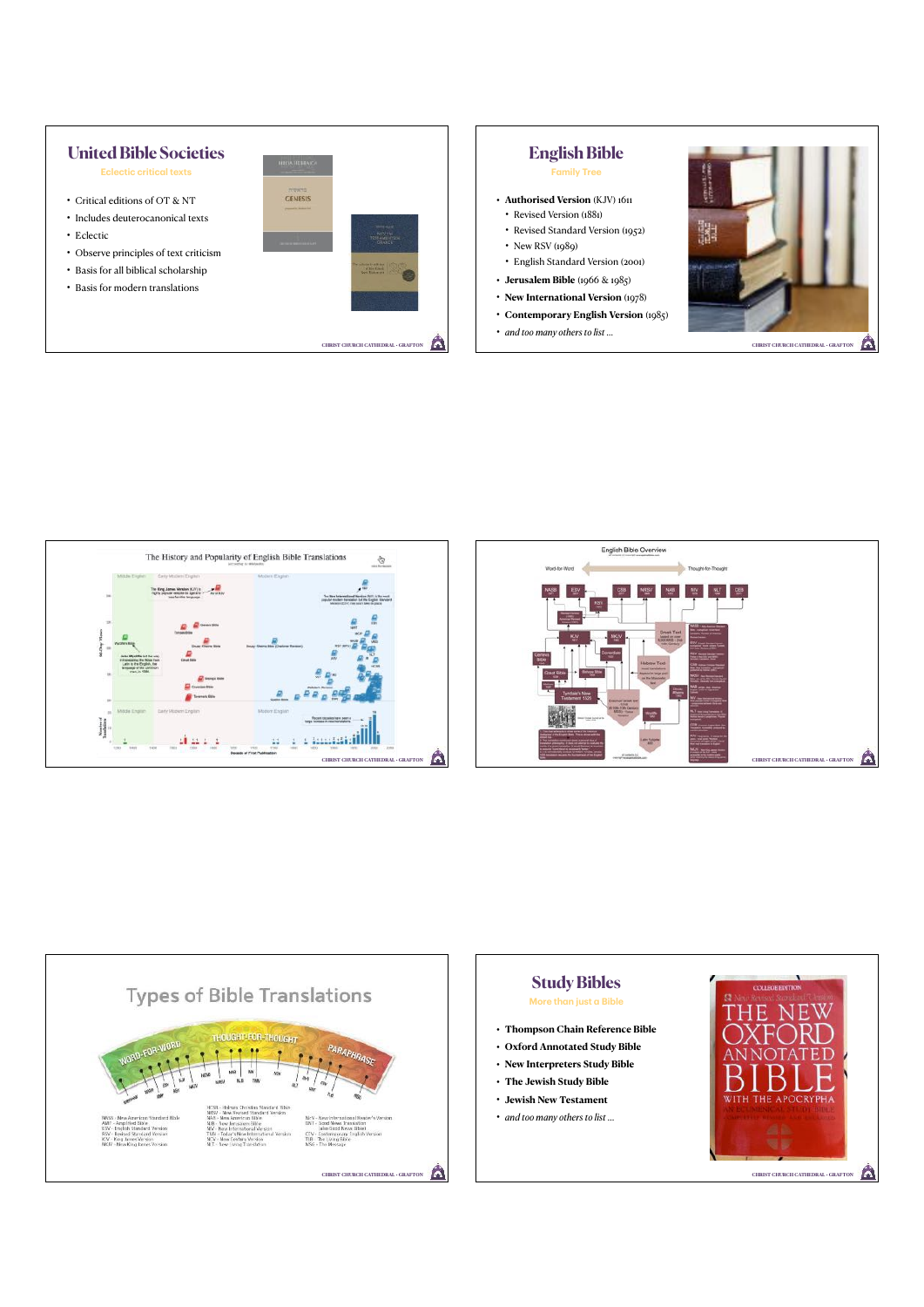